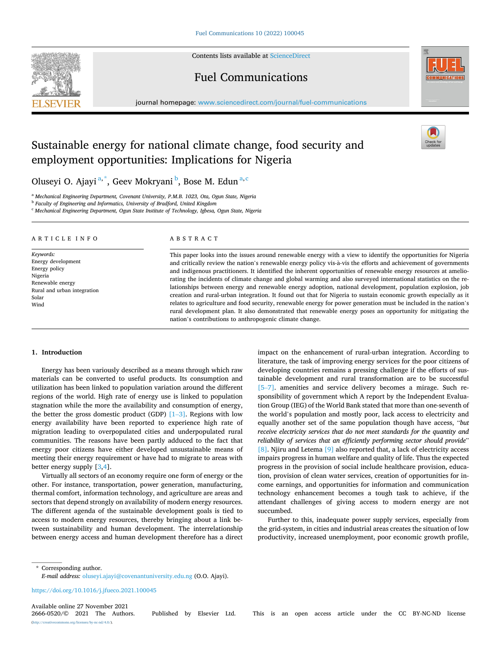Contents lists available at [ScienceDirect](www.sciencedirect.com/science/journal/26660520)

# **SEVIER**



# Fuel Communications

journal homepage: [www.sciencedirect.com/journal/fuel-communications](https://www.sciencedirect.com/journal/fuel-communications)

# Sustainable energy for national climate change, food security and employment opportunities: Implications for Nigeria

Oluseyi O. Ajayi  $a^*$ , Geev Mokryani  $^b$ , Bose M. Edun $^{a,c}$ 

<sup>a</sup> *Mechanical Engineering Department, Covenant University, P.M.B. 1023, Ota, Ogun State, Nigeria* 

<sup>b</sup> *Faculty of Engineering and Informatics, University of Bradford, United Kingdom* 

<sup>c</sup> *Mechanical Engineering Department, Ogun State Institute of Technology, Igbesa, Ogun State, Nigeria* 

#### ARTICLE INFO

*Keywords:*  Energy development Energy policy Nigeria Renewable energy Rural and urban integration Solar Wind

## ABSTRACT

This paper looks into the issues around renewable energy with a view to identify the opportunities for Nigeria and critically review the nation's renewable energy policy vis-à-vis the efforts and achievement of governments and indigenous practitioners. It identified the inherent opportunities of renewable energy resources at ameliorating the incidents of climate change and global warming and also surveyed international statistics on the relationships between energy and renewable energy adoption, national development, population explosion, job creation and rural-urban integration. It found out that for Nigeria to sustain economic growth especially as it relates to agriculture and food security, renewable energy for power generation must be included in the nation's rural development plan. It also demonstrated that renewable energy poses an opportunity for mitigating the nation's contributions to anthropogenic climate change.

# **1. Introduction**

Energy has been variously described as a means through which raw materials can be converted to useful products. Its consumption and utilization has been linked to population variation around the different regions of the world. High rate of energy use is linked to population stagnation while the more the availability and consumption of energy, the better the gross domestic product (GDP)  $[1-3]$ . Regions with low energy availability have been reported to experience high rate of migration leading to overpopulated cities and underpopulated rural communities. The reasons have been partly adduced to the fact that energy poor citizens have either developed unsustainable means of meeting their energy requirement or have had to migrate to areas with better energy supply [\[3](#page-4-0),[4](#page-4-0)].

Virtually all sectors of an economy require one form of energy or the other. For instance, transportation, power generation, manufacturing, thermal comfort, information technology, and agriculture are areas and sectors that depend strongly on availability of modern energy resources. The different agenda of the sustainable development goals is tied to access to modern energy resources, thereby bringing about a link between sustainability and human development. The interrelationship between energy access and human development therefore has a direct impact on the enhancement of rural-urban integration. According to literature, the task of improving energy services for the poor citizens of developing countries remains a pressing challenge if the efforts of sustainable development and rural transformation are to be successful [5–[7\]](#page-4-0). amenities and service delivery becomes a mirage. Such responsibility of government which A report by the Independent Evaluation Group (IEG) of the World Bank stated that more than one-seventh of the world's population and mostly poor, lack access to electricity and equally another set of the same population though have access, "*but receive electricity services that do not meet standards for the quantity and reliability of services that an efficiently performing sector should provide*" [\[8\].](#page-4-0) Njiru and Letema [\[9\]](#page-4-0) also reported that, a lack of electricity access impairs progress in human welfare and quality of life. Thus the expected progress in the provision of social include healthcare provision, education, provision of clean water services, creation of opportunities for income earnings, and opportunities for information and communication technology enhancement becomes a tough task to achieve, if the attendant challenges of giving access to modern energy are not succumbed.

Further to this, inadequate power supply services, especially from the grid-system, in cities and industrial areas creates the situation of low productivity, increased unemployment, poor economic growth profile,

\* Corresponding author.

*E-mail address:* [oluseyi.ajayi@covenantuniversity.edu.ng](mailto:oluseyi.ajayi@covenantuniversity.edu.ng) (O.O. Ajayi).

<https://doi.org/10.1016/j.jfueco.2021.100045>

Available online 27 November 2021<br>2666-0520/© 2021 The Authors. (http://licenses/by-nc-nd/4.0/).

2666-0520/© 2021 The Authors. Published by Elsevier Ltd. This is an open access article under the CC BY-NC-ND license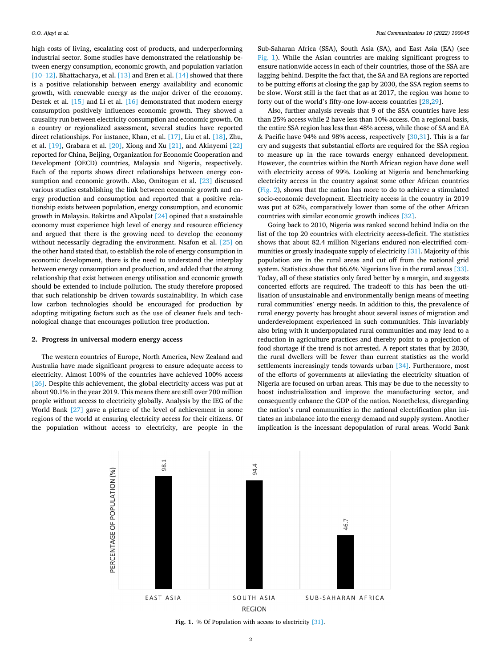high costs of living, escalating cost of products, and underperforming industrial sector. Some studies have demonstrated the relationship between energy consumption, economic growth, and population variation [10–[12\]](#page-4-0). Bhattacharya, et al. [\[13\]](#page-4-0) and Eren et al. [\[14\]](#page-4-0) showed that there is a positive relationship between energy availability and economic growth, with renewable energy as the major driver of the economy. Destek et al. [\[15\]](#page-4-0) and Li et al. [\[16\]](#page-4-0) demonstrated that modern energy consumption positively influences economic growth. They showed a causality run between electricity consumption and economic growth. On a country or regionalized assessment, several studies have reported direct relationships. For instance, Khan, et al. [\[17\]](#page-4-0), Liu et al. [\[18\]](#page-4-0), Zhu, et al. [\[19\],](#page-4-0) Grabara et al. [\[20\]](#page-4-0), Xiong and Xu [\[21\]](#page-4-0), and Akinyemi [\[22\]](#page-4-0)  reported for China, Beijing, Organization for Economic Cooperation and Development (OECD) countries, Malaysia and Nigeria, respectively. Each of the reports shows direct relationships between energy consumption and economic growth. Also, Omitogun et al. [\[23\]](#page-4-0) discussed various studies establishing the link between economic growth and energy production and consumption and reported that a positive relationship exists between population, energy consumption, and economic growth in Malaysia. Bakirtas and Akpolat  $[24]$  opined that a sustainable economy must experience high level of energy and resource efficiency and argued that there is the growing need to develop the economy without necessarily degrading the environment. Nsafon et al. [\[25\]](#page-4-0) on the other hand stated that, to establish the role of energy consumption in economic development, there is the need to understand the interplay between energy consumption and production, and added that the strong relationship that exist between energy utilisation and economic growth should be extended to include pollution. The study therefore proposed that such relationship be driven towards sustainability. In which case low carbon technologies should be encouraged for production by adopting mitigating factors such as the use of cleaner fuels and technological change that encourages pollution free production.

# **2. Progress in universal modern energy access**

The western countries of Europe, North America, New Zealand and Australia have made significant progress to ensure adequate access to electricity. Almost 100% of the countries have achieved 100% access [\[26\]](#page-4-0). Despite this achievement, the global electricity access was put at about 90.1% in the year 2019. This means there are still over 700 million people without access to electricity globally. Analysis by the IEG of the World Bank [\[27\]](#page-4-0) gave a picture of the level of achievement in some regions of the world at ensuring electricity access for their citizens. Of the population without access to electricity, are people in the

Sub-Saharan Africa (SSA), South Asia (SA), and East Asia (EA) (see Fig. 1). While the Asian countries are making significant progress to ensure nationwide access in each of their countries, those of the SSA are lagging behind. Despite the fact that, the SA and EA regions are reported to be putting efforts at closing the gap by 2030, the SSA region seems to be slow. Worst still is the fact that as at 2017, the region was home to forty out of the world's fifty-one low-access countries [[28,29\]](#page-4-0).

Also, further analysis reveals that 9 of the SSA countries have less than 25% access while 2 have less than 10% access. On a regional basis, the entire SSA region has less than 48% access, while those of SA and EA & Pacific have 94% and 98% access, respectively  $[30,31]$  $[30,31]$  $[30,31]$ . This is a far cry and suggests that substantial efforts are required for the SSA region to measure up in the race towards energy enhanced development. However, the countries within the North African region have done well with electricity access of 99%. Looking at Nigeria and benchmarking electricity access in the country against some other African countries ([Fig. 2\)](#page-2-0), shows that the nation has more to do to achieve a stimulated socio-economic development. Electricity access in the country in 2019 was put at 62%, comparatively lower than some of the other African countries with similar economic growth indices [\[32\].](#page-4-0)

Going back to 2010, Nigeria was ranked second behind India on the list of the top 20 countries with electricity access-deficit. The statistics shows that about 82.4 million Nigerians endured non-electrified communities or grossly inadequate supply of electricity [\[31\].](#page-4-0) Majority of this population are in the rural areas and cut off from the national grid system. Statistics show that 66.6% Nigerians live in the rural areas [\[33\]](#page-4-0). Today, all of these statistics only fared better by a margin, and suggests concerted efforts are required. The tradeoff to this has been the utilisation of unsustainable and environmentally benign means of meeting rural communities' energy needs. In addition to this, the prevalence of rural energy poverty has brought about several issues of migration and underdevelopment experienced in such communities. This invariably also bring with it underpopulated rural communities and may lead to a reduction in agriculture practices and thereby point to a projection of food shortage if the trend is not arrested. A report states that by 2030, the rural dwellers will be fewer than current statistics as the world settlements increasingly tends towards urban [\[34\]](#page-4-0). Furthermore, most of the efforts of governments at alleviating the electricity situation of Nigeria are focused on urban areas. This may be due to the necessity to boost industrialization and improve the manufacturing sector, and consequently enhance the GDP of the nation. Nonetheless, disregarding the nation's rural communities in the national electrification plan initiates an imbalance into the energy demand and supply system. Another implication is the incessant depopulation of rural areas. World Bank



Fig. 1. % Of Population with access to electricity [\[31\].](#page-4-0)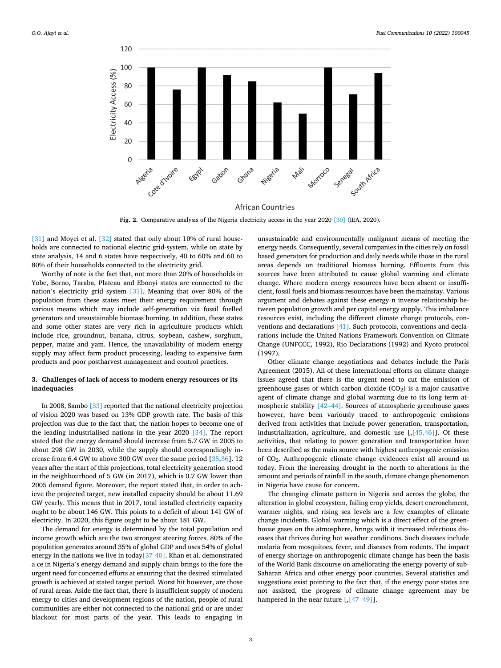<span id="page-2-0"></span>

**Fig. 2.** Comparative analysis of the Nigeria electricity access in the year 2020 [\[30\]](#page-4-0) (IEA, 2020).

[\[31\]](#page-4-0) and Moyei et al. [\[32\]](#page-4-0) stated that only about 10% of rural households are connected to national electric grid-system, while on state by state analysis, 14 and 6 states have respectively, 40 to 60% and 60 to 80% of their households connected to the electricity grid.

Worthy of note is the fact that, not more than 20% of households in Yobe, Borno, Taraba, Plateau and Ebonyi states are connected to the nation's electricity grid system [\[31\].](#page-4-0) Meaning that over 80% of the population from these states meet their energy requirement through various means which may include self-generation via fossil fuelled generators and unsustainable biomass burning. In addition, these states and some other states are very rich in agriculture products which include rice, groundnut, banana, citrus, soybean, cashew, sorghum, pepper, maize and yam. Hence, the unavailability of modern energy supply may affect farm product processing, leading to expensive farm products and poor postharvest management and control practices.

# **3. Challenges of lack of access to modern energy resources or its inadequacies**

In 2008, Sambo [\[33\]](#page-4-0) reported that the national electricity projection of vision 2020 was based on 13% GDP growth rate. The basis of this projection was due to the fact that, the nation hopes to become one of the leading industrialised nations in the year 2020 [\[34\]](#page-4-0). The report stated that the energy demand should increase from 5.7 GW in 2005 to about 298 GW in 2030, while the supply should correspondingly increase from 6.4 GW to above 300 GW over the same period [[35,36\]](#page-4-0). 12 years after the start of this projections, total electricity generation stood in the neighbourhood of 5 GW (in 2017), which is 0.7 GW lower than 2005 demand figure. Moreover, the report stated that, in order to achieve the projected target, new installed capacity should be about 11.69 GW yearly. This means that in 2017, total installed electricity capacity ought to be about 146 GW. This points to a deficit of about 141 GW of electricity. In 2020, this figure ought to be about 181 GW.

The demand for energy is determined by the total population and income growth which are the two strongest steering forces. 80% of the population generates around 35% of global GDP and uses 54% of global energy in the nations we live in today  $[37-40]$ . Khan et al. demonstrated a ce in Nigeria's energy demand and supply chain brings to the fore the urgent need for concerted efforts at ensuring that the desired stimulated growth is achieved at stated target period. Worst hit however, are those of rural areas. Aside the fact that, there is insufficient supply of modern energy to cities and development regions of the nation, people of rural communities are either not connected to the national grid or are under blackout for most parts of the year. This leads to engaging in

unsustainable and environmentally malignant means of meeting the energy needs. Consequently, several companies in the cities rely on fossil based generators for production and daily needs while those in the rural areas depends on traditional biomass burning. Effluents from this sources have been attributed to cause global warming and climate change. Where modern energy resources have been absent or insufficient, fossil fuels and biomass resources have been the mainstay. Various argument and debates against these energy n inverse relationship between population growth and per capital energy supply. This imbalance resources exist, including the different climate change protocols, conventions and declarations [\[41\]](#page-4-0). Such protocols, conventions and declarations include the United Nations Framework Convention on Climate Change (UNFCCC, 1992), Rio Declarations (1992) and Kyoto protocol (1997).

Other climate change negotiations and debates include the Paris Agreement (2015). All of these international efforts on climate change issues agreed that there is the urgent need to cut the emission of greenhouse gases of which carbon dioxide  $(CO<sub>2</sub>)$  is a major causative agent of climate change and global warming due to its long term atmospheric stability [42–[44\].](#page-4-0) Sources of atmospheric greenhouse gases however, have been variously traced to anthropogenic emissions derived from activities that include power generation, transportation, industrialization, agriculture, and domestic use  $\lceil \sqrt{45,46} \rceil$ . Of these activities, that relating to power generation and transportation have been described as the main source with highest anthropogenic emission of CO2. Anthropogenic climate change evidences exist all around us today. From the increasing drought in the north to alterations in the amount and periods of rainfall in the south, climate change phenomenon in Nigeria have cause for concern.

The changing climate pattern in Nigeria and across the globe, the alteration in global ecosystem, failing crop yields, desert encroachment, warmer nights, and rising sea levels are a few examples of climate change incidents. Global warming which is a direct effect of the greenhouse gases on the atmosphere, brings with it increased infectious diseases that thrives during hot weather conditions. Such diseases include malaria from mosquitoes, fever, and diseases from rodents. The impact of energy shortage on anthropogenic climate change has been the basis of the World Bank discourse on ameliorating the energy poverty of sub-Saharan Africa and other energy poor countries. Several statistics and suggestions exist pointing to the fact that, if the energy poor states are not assisted, the progress of climate change agreement may be hampered in the near future [, [47-[49\]](#page-4-0)].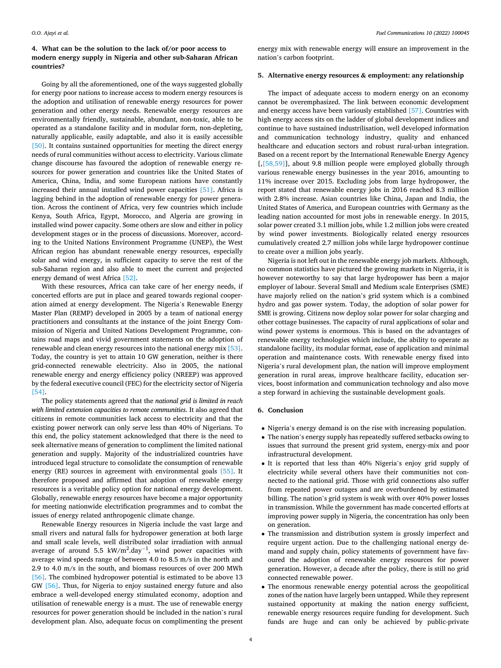# **4. What can be the solution to the lack of/or poor access to modern energy supply in Nigeria and other sub-Saharan African countries?**

Going by all the aforementioned, one of the ways suggested globally for energy poor nations to increase access to modern energy resources is the adoption and utilisation of renewable energy resources for power generation and other energy needs. Renewable energy resources are environmentally friendly, sustainable, abundant, non-toxic, able to be operated as a standalone facility and in modular form, non-depleting, naturally applicable, easily adaptable, and also it is easily accessible [\[50\]](#page-4-0). It contains sustained opportunities for meeting the direct energy needs of rural communities without access to electricity. Various climate change discourse has favoured the adoption of renewable energy resources for power generation and countries like the United States of America, China, India, and some European nations have constantly increased their annual installed wind power capacities [\[51\]](#page-4-0). Africa is lagging behind in the adoption of renewable energy for power generation. Across the continent of Africa, very few countries which include Kenya, South Africa, Egypt, Morocco, and Algeria are growing in installed wind power capacity. Some others are slow and either in policy development stages or in the process of discussions. Moreover, according to the United Nations Environment Programme (UNEP), the West African region has abundant renewable energy resources, especially solar and wind energy, in sufficient capacity to serve the rest of the sub-Saharan region and also able to meet the current and projected energy demand of west Africa [\[52\].](#page-4-0)

With these resources, Africa can take care of her energy needs, if concerted efforts are put in place and geared towards regional cooperation aimed at energy development. The Nigeria's Renewable Energy Master Plan (REMP) developed in 2005 by a team of national energy practitioners and consultants at the instance of the joint Energy Commission of Nigeria and United Nations Development Programme, contains road maps and vivid government statements on the adoption of renewable and clean energy resources into the national energy mix [\[53\]](#page-5-0). Today, the country is yet to attain 10 GW generation, neither is there grid-connected renewable electricity. Also in 2005, the national renewable energy and energy efficiency policy (NREEP) was approved by the federal executive council (FEC) for the electricity sector of Nigeria [\[54\]](#page-5-0).

The policy statements agreed that the *national grid is limited in reach with limited extension capacities to remote communities*. It also agreed that citizens in remote communities lack access to electricity and that the existing power network can only serve less than 40% of Nigerians. To this end, the policy statement acknowledged that there is the need to seek alternative means of generation to compliment the limited national generation and supply. Majority of the industrialized countries have introduced legal structure to consolidate the consumption of renewable energy (RE) sources in agreement with environmental goals [\[55\]](#page-5-0). It therefore proposed and affirmed that adoption of renewable energy resources is a veritable policy option for national energy development. Globally, renewable energy resources have become a major opportunity for meeting nationwide electrification programmes and to combat the issues of energy related anthropogenic climate change.

Renewable Energy resources in Nigeria include the vast large and small rivers and natural falls for hydropower generation at both large and small scale levels, well distributed solar irradiation with annual average of around 5.5 kW/m<sup>2</sup>.day $^{-1}$ , wind power capacities with average wind speeds range of between 4.0 to 8.5 m/s in the north and 2.9 to 4.0 m/s in the south, and biomass resources of over 200 MWh [\[56\]](#page-5-0). The combined hydropower potential is estimated to be above 13 GW [\[56\]](#page-5-0). Thus, for Nigeria to enjoy sustained energy future and also embrace a well-developed energy stimulated economy, adoption and utilisation of renewable energy is a must. The use of renewable energy resources for power generation should be included in the nation's rural development plan. Also, adequate focus on complimenting the present

energy mix with renewable energy will ensure an improvement in the nation's carbon footprint.

## **5. Alternative energy resources & employment: any relationship**

The impact of adequate access to modern energy on an economy cannot be overemphasized. The link between economic development and energy access have been variously established [\[57\]](#page-5-0). Countries with high energy access sits on the ladder of global development indices and continue to have sustained industrilisation, well developed information and communication technology industry, quality and enhanced healthcare and education sectors and robust rural-urban integration. Based on a recent report by the International Renewable Energy Agency [, [58, 59]], about 9.8 million people were employed globally through various renewable energy businesses in the year 2016, amounting to 11% increase over 2015. Excluding jobs from large hydropower, the report stated that renewable energy jobs in 2016 reached 8.3 million with 2.8% increase. Asian countries like China, Japan and India, the United States of America, and European countries with Germany as the leading nation accounted for most jobs in renewable energy. In 2015, solar power created 3.1 million jobs, while 1.2 million jobs were created by wind power investments. Biologically related energy resources cumulatively created 2.7 million jobs while large hydropower continue to create over a million jobs yearly.

Nigeria is not left out in the renewable energy job markets. Although, no common statistics have pictured the growing markets in Nigeria, it is however noteworthy to say that large hydropower has been a major employer of labour. Several Small and Medium scale Enterprises (SME) have majorly relied on the nation's grid system which is a combined hydro and gas power system. Today, the adoption of solar power for SME is growing. Citizens now deploy solar power for solar charging and other cottage businesses. The capacity of rural applications of solar and wind power systems is enormous. This is based on the advantages of renewable energy technologies which include, the ability to operate as standalone facility, its modular format, ease of application and minimal operation and maintenance costs. With renewable energy fixed into Nigeria's rural development plan, the nation will improve employment generation in rural areas, improve healthcare facility, education services, boost information and communication technology and also move a step forward in achieving the sustainable development goals.

## **6. Conclusion**

- Nigeria's energy demand is on the rise with increasing population.
- The nation's energy supply has repeatedly suffered setbacks owing to issues that surround the present grid system, energy-mix and poor infrastructural development.
- It is reported that less than 40% Nigeria's enjoy grid supply of electricity while several others have their communities not connected to the national grid. Those with grid connections also suffer from repeated power outages and are overburdened by estimated billing. The nation's grid system is weak with over 40% power losses in transmission. While the government has made concerted efforts at improving power supply in Nigeria, the concentration has only been on generation.
- The transmission and distribution system is grossly imperfect and require urgent action. Due to the challenging national energy demand and supply chain, policy statements of government have favoured the adoption of renewable energy resources for power generation. However, a decade after the policy, there is still no grid connected renewable power.
- The enormous renewable energy potential across the geopolitical zones of the nation have largely been untapped. While they represent sustained opportunity at making the nation energy sufficient, renewable energy resources require funding for development. Such funds are huge and can only be achieved by public-private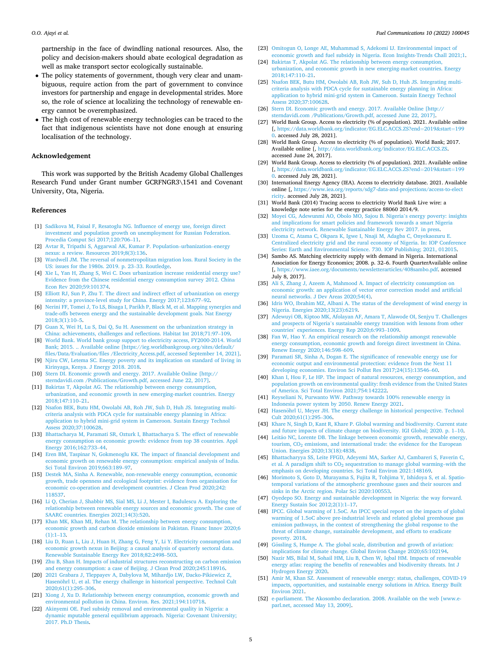<span id="page-4-0"></span>partnership in the face of dwindling national resources. Also, the policy and decision-makers should abate ecological degradation as well as make transport sector ecologically sustainable.

- The policy statements of government, though very clear and unambiguous, require action from the part of government to convince investors for partnership and engage in developmental strides. More so, the role of science at localizing the technology of renewable energy cannot be overemphasized.
- The high cost of renewable energy technologies can be traced to the fact that indigenous scientists have not done enough at ensuring localisation of the technology.

## **Acknowledgement**

This work was supported by the British Academy Global Challenges Research Fund under Grant number GCRFNGR3\1541 and Covenant University, Ota, Nigeria.

#### **References**

- [1] [Sadikova M, Faisal F, Resatoglu NG. Influence of energy use, foreign direct](http://refhub.elsevier.com/S2666-0520(21)00038-8/sbref0001) [investment and population growth on unemployment for Russian Federation.](http://refhub.elsevier.com/S2666-0520(21)00038-8/sbref0001) [Procedia Comput Sci 2017;120:706](http://refhub.elsevier.com/S2666-0520(21)00038-8/sbref0001)–11.
- [2] [Avtar R, Tripathi S, Aggarwal AK, Kumar P. Population](http://refhub.elsevier.com/S2666-0520(21)00038-8/sbref0002)–urbanization–energy [nexus: a review. Resources 2019;8\(3\):136](http://refhub.elsevier.com/S2666-0520(21)00038-8/sbref0002).
- [3] [Wardwell JM. The reversal of nonmetropolitan migration loss. Rural Society in the](http://refhub.elsevier.com/S2666-0520(21)00038-8/sbref0003)  [US: issues for the 1980s. 2019. p. 23](http://refhub.elsevier.com/S2666-0520(21)00038-8/sbref0003)–33. Routledge.
- [4] [Xie L, Yan H, Zhang S, Wei C. Does urbanization increase residential energy use?](http://refhub.elsevier.com/S2666-0520(21)00038-8/sbref0004) [Evidence from the Chinese residential energy consumption survey 2012. China](http://refhub.elsevier.com/S2666-0520(21)00038-8/sbref0004) [Econ Rev 2020;59:101374](http://refhub.elsevier.com/S2666-0520(21)00038-8/sbref0004).
- [5] [Elliott RJ, Sun P, Zhu T. The direct and indirect effect of urbanization on energy](http://refhub.elsevier.com/S2666-0520(21)00038-8/sbref0005)  [intensity: a province-level study for China. Energy 2017;123:677](http://refhub.elsevier.com/S2666-0520(21)00038-8/sbref0005)–92.
- [6] [Nerini FF, Tomei J, To LS, Bisaga I, Parikh P, Black M, et al. Mapping synergies and](http://refhub.elsevier.com/S2666-0520(21)00038-8/sbref0006)  [trade-offs between energy and the sustainable development goals. Nat Energy](http://refhub.elsevier.com/S2666-0520(21)00038-8/sbref0006)  [2018;3\(1\):10](http://refhub.elsevier.com/S2666-0520(21)00038-8/sbref0006)–5.
- [7] [Guan X, Wei H, Lu S, Dai Q, Su H. Assessment on the urbanization strategy in](http://refhub.elsevier.com/S2666-0520(21)00038-8/sbref0007)  [China: achievements, challenges and reflections. Habitat Int 2018;71:97](http://refhub.elsevier.com/S2666-0520(21)00038-8/sbref0007)–109.
- [8] [World Bank. World bank group support to electricity access, FY2000-2014. World](http://refhub.elsevier.com/S2666-0520(21)00038-8/sbref0008)  [Bank; 2015. .. Available online \[https://ieg.worldbankgroup.org/sites/default/](http://refhub.elsevier.com/S2666-0520(21)00038-8/sbref0008)  [files/Data/Evaluation/files /Electricity\\_Access.pdf, accessed September 14, 2021\].](http://refhub.elsevier.com/S2666-0520(21)00038-8/sbref0008) [9] [Njiru CW, Letema SC. Energy poverty and its implication on standard of living in](http://refhub.elsevier.com/S2666-0520(21)00038-8/sbref0009)
- [Kirinyaga, Kenya. J Energy 2018. 2018](http://refhub.elsevier.com/S2666-0520(21)00038-8/sbref0009). [10] [Stern DI. Economic growth and energy. 2017. Available Online \[http://](http://refhub.elsevier.com/S2666-0520(21)00038-8/sbref0010)
- [sterndavidi.com /Publications/Growth.pdf, accessed June 22, 2017\].](http://refhub.elsevier.com/S2666-0520(21)00038-8/sbref0010) [11] [Bakirtas T, Akpolat AG. The relationship between energy consumption,](http://refhub.elsevier.com/S2666-0520(21)00038-8/sbref0011)
- [urbanization, and economic growth in new emerging-market countries. Energy](http://refhub.elsevier.com/S2666-0520(21)00038-8/sbref0011) [2018;147:110](http://refhub.elsevier.com/S2666-0520(21)00038-8/sbref0011)–21.
- [12] [Nsafon BEK, Butu HM, Owolabi AB, Roh JW, Suh D, Huh JS. Integrating multi](http://refhub.elsevier.com/S2666-0520(21)00038-8/sbref0012)[criteria analysis with PDCA cycle for sustainable energy planning in Africa:](http://refhub.elsevier.com/S2666-0520(21)00038-8/sbref0012) [application to hybrid mini-grid system in Cameroon. Sustain Energy Technol](http://refhub.elsevier.com/S2666-0520(21)00038-8/sbref0012) [Assess 2020;37:100628.](http://refhub.elsevier.com/S2666-0520(21)00038-8/sbref0012)
- [13] [Bhattacharya M, Paramati SR, Ozturk I, Bhattacharya S. The effect of renewable](http://refhub.elsevier.com/S2666-0520(21)00038-8/sbref0013) [energy consumption on economic growth: evidence from top 38 countries. Appl](http://refhub.elsevier.com/S2666-0520(21)00038-8/sbref0013)  [Energy 2016;162:733](http://refhub.elsevier.com/S2666-0520(21)00038-8/sbref0013)–44.
- [14] [Eren BM, Taspinar N, Gokmenoglu KK. The impact of financial development and](http://refhub.elsevier.com/S2666-0520(21)00038-8/sbref0014) [economic growth on renewable energy consumption: empirical analysis of India.](http://refhub.elsevier.com/S2666-0520(21)00038-8/sbref0014)  [Sci Total Environ 2019;663:189](http://refhub.elsevier.com/S2666-0520(21)00038-8/sbref0014)–97.
- [15] [Destek MA, Sinha A. Renewable, non-renewable energy consumption, economic](http://refhub.elsevier.com/S2666-0520(21)00038-8/sbref0015) [growth, trade openness and ecological footprint: evidence from organisation for](http://refhub.elsevier.com/S2666-0520(21)00038-8/sbref0015) [economic co-operation and development countries. J Clean Prod 2020;242:](http://refhub.elsevier.com/S2666-0520(21)00038-8/sbref0015) [118537.](http://refhub.elsevier.com/S2666-0520(21)00038-8/sbref0015)
- [16] [Li Q, Cherian J, Shabbir MS, Sial MS, Li J, Mester I, Badulescu A. Exploring the](http://refhub.elsevier.com/S2666-0520(21)00038-8/sbref0016) [relationship between renewable energy sources and economic growth. The case of](http://refhub.elsevier.com/S2666-0520(21)00038-8/sbref0016)  [SAARC countries. Energies 2021;14\(3\):520](http://refhub.elsevier.com/S2666-0520(21)00038-8/sbref0016).
- [17] [Khan MK, Khan MI, Rehan M. The relationship between energy consumption,](http://refhub.elsevier.com/S2666-0520(21)00038-8/sbref0017)  [economic growth and carbon dioxide emissions in Pakistan. Financ Innov 2020;6](http://refhub.elsevier.com/S2666-0520(21)00038-8/sbref0017) [\(1\):1](http://refhub.elsevier.com/S2666-0520(21)00038-8/sbref0017)–13.
- [18] [Liu D, Ruan L, Liu J, Huan H, Zhang G, Feng Y, Li Y. Electricity consumption and](http://refhub.elsevier.com/S2666-0520(21)00038-8/sbref0018)  [economic growth nexus in Beijing: a causal analysis of quarterly sectoral data.](http://refhub.elsevier.com/S2666-0520(21)00038-8/sbref0018) [Renewable Sustainable Energy Rev 2018;82:2498](http://refhub.elsevier.com/S2666-0520(21)00038-8/sbref0018)–503.
- [19] [Zhu B, Shan H. Impacts of industrial structures reconstructing on carbon emission](http://refhub.elsevier.com/S2666-0520(21)00038-8/sbref0019)  [and energy consumption: a case of Beijing. J Clean Prod 2020;245:118916.](http://refhub.elsevier.com/S2666-0520(21)00038-8/sbref0019)
- [20] [2021 Grabara J, Tleppayev A, Dabylova M, Mihardjo LW, Dacko-Pikiewicz Z,](http://refhub.elsevier.com/S2666-0520(21)00038-8/sbref0020) Hasenöhrl [U, et al. The energy challenge in historical perspective. Technol Cult](http://refhub.elsevier.com/S2666-0520(21)00038-8/sbref0020) [2020;61\(1\):295](http://refhub.elsevier.com/S2666-0520(21)00038-8/sbref0020)–306.
- [21] [Xiong J, Xu D. Relationship between energy consumption, economic growth and](http://refhub.elsevier.com/S2666-0520(21)00038-8/sbref0021) [environmental pollution in China. Environ. Res. 2021;194:110718](http://refhub.elsevier.com/S2666-0520(21)00038-8/sbref0021).
- [22] [Akinyemi OE. Fuel subsidy removal and environmental quality in Nigeria: a](http://refhub.elsevier.com/S2666-0520(21)00038-8/sbref0022)  [dynamic mputable general equilibrium approach. Nigeria: Covenant University;](http://refhub.elsevier.com/S2666-0520(21)00038-8/sbref0022)  [2017. Ph.D Thesis.](http://refhub.elsevier.com/S2666-0520(21)00038-8/sbref0022)
- [23] [Omitogun O, Longe AE, Muhammad S, Adekomi IJ. Environmental impact of](http://refhub.elsevier.com/S2666-0520(21)00038-8/sbref0023) [economic growth and fuel subsidy in Nigeria. Econ Insights-Trends Chall 2021;1](http://refhub.elsevier.com/S2666-0520(21)00038-8/sbref0023).
- [24] [Bakirtas T, Akpolat AG. The relationship between energy consumption,](http://refhub.elsevier.com/S2666-0520(21)00038-8/sbref0024) [urbanization, and economic growth in new emerging-market countries. Energy](http://refhub.elsevier.com/S2666-0520(21)00038-8/sbref0024) [2018;147:110](http://refhub.elsevier.com/S2666-0520(21)00038-8/sbref0024)–21.
- [25] [Nsafon BEK, Butu HM, Owolabi AB, Roh JW, Suh D, Huh JS. Integrating multi](http://refhub.elsevier.com/S2666-0520(21)00038-8/sbref0025)[criteria analysis with PDCA cycle for sustainable energy planning in Africa:](http://refhub.elsevier.com/S2666-0520(21)00038-8/sbref0025) [application to hybrid mini-grid system in Cameroon. Sustain Energy Technol](http://refhub.elsevier.com/S2666-0520(21)00038-8/sbref0025) [Assess 2020;37:100628](http://refhub.elsevier.com/S2666-0520(21)00038-8/sbref0025).
- [26] [Stern DI. Economic growth and energy. 2017. Available Online \[http://](http://refhub.elsevier.com/S2666-0520(21)00038-8/sbref0026) [sterndavidi.com /Publications/Growth.pdf, accessed June 22, 2017\]](http://refhub.elsevier.com/S2666-0520(21)00038-8/sbref0026).
- [27] World Bank Group. Access to electricity (% of population). 2021. Available online [, [https://data.worldbank.org/indicator/EG.ELC.ACCS.ZS?end](https://data.worldbank.org/indicator/EG.ELC.ACCS.ZS?end=2019&tnqh_x0026;start=1990)=2019&start=199 [0.](https://data.worldbank.org/indicator/EG.ELC.ACCS.ZS?end=2019&tnqh_x0026;start=1990) accessed July 28, 2021].
- [28] World Bank Group. Access to electricity (% of population). World Bank; 2017. Available online [, http://data.worldbank.org/indicator/EG.ELC.ACCS.Z accessed June 24, 2017].
- [29] World Bank Group. Access to electricity (% of population). 2021. Available online [, [https://data.worldbank.org/indicator/EG.ELC.ACCS.ZS?end](https://data.worldbank.org/indicator/EG.ELC.ACCS.ZS?end=2019&tnqh_x0026;start=1990)=2019&start=199 [0.](https://data.worldbank.org/indicator/EG.ELC.ACCS.ZS?end=2019&tnqh_x0026;start=1990) accessed July 28, 2021].
- [30] International Energy Agency (IEA). Access to electricity database. 2021. Available online [, [https://www.iea.org/reports/sdg7-data-and-projections/access-to-elect](https://www.iea.org/reports/sdg7-data-and-projections/access-to-electricity)  [ricity](https://www.iea.org/reports/sdg7-data-and-projections/access-to-electricity). accessed July 28, 2021].
- [31] World Bank (2014) Tracing access to electricity World Bank Live wire: a knowledge note series for the energy practice 88060 2014/9.
- [32] [Moyei CG, Adewunmi AO, Obolo MO, Sajou B. Nigeria](http://refhub.elsevier.com/S2666-0520(21)00038-8/sbref0032)'s energy poverty: insights [and implications for smart policies and framework towards a smart Nigeria](http://refhub.elsevier.com/S2666-0520(21)00038-8/sbref0032) [electricity network. Renewable Sustainable Energy Rev 2017. in press.](http://refhub.elsevier.com/S2666-0520(21)00038-8/sbref0032)
- [33] [Uzoma C, Atama C, Okpara K, Igwe I, Nnaji M, Adagba C, Onyekaozuru E.](http://refhub.elsevier.com/S2666-0520(21)00038-8/sbref0033)  [Centralized electricity grid and the rural economy of Nigeria. In: IOP Conference](http://refhub.elsevier.com/S2666-0520(21)00038-8/sbref0033) [Series: Earth and Environmental Science. 730. IOP Publishing; 2021, 012015](http://refhub.elsevier.com/S2666-0520(21)00038-8/sbref0033).
- [34] Sambo AS. Matching electricity supply with demand in Nigeria. International Association for Energy Economics; 2008. p. 32–6. Fourth QuarterAvailable online [, [https://www.iaee.org/documents/newsletterarticles/408sambo.pdf.](https://www.iaee.org/documents/newsletterarticles/408sambo.pdf) accessed July 8, 2017].
- [35] [Ali S, Zhang J, Azeem A, Mahmood A. Impact of electricity consumption on](http://refhub.elsevier.com/S2666-0520(21)00038-8/sbref0035) [economic growth: an application of vector error correction model and artificial](http://refhub.elsevier.com/S2666-0520(21)00038-8/sbref0035)  [neural networks. J Dev Areas 2020;54\(4\).](http://refhub.elsevier.com/S2666-0520(21)00038-8/sbref0035)
- [36] Idris WO, Ibrahim MZ, Albani A. The status of the development of wind energy in [Nigeria. Energies 2020;13\(23\):6219](http://refhub.elsevier.com/S2666-0520(21)00038-8/sbref0036).
- [37] [Adewuyi OB, Kiptoo MK, Afolayan AF, Amara T, Alawode OI, Senjyu T. Challenges](http://refhub.elsevier.com/S2666-0520(21)00038-8/sbref0037)  and prospects of Nigeria'[s sustainable energy transition with lessons from other](http://refhub.elsevier.com/S2666-0520(21)00038-8/sbref0037)  countries' [experiences. Energy Rep 2020;6:993](http://refhub.elsevier.com/S2666-0520(21)00038-8/sbref0037)–1009.
- [38] [Fan W, Hao Y. An empirical research on the relationship amongst renewable](http://refhub.elsevier.com/S2666-0520(21)00038-8/sbref0038)  [energy consumption, economic growth and foreign direct investment in China.](http://refhub.elsevier.com/S2666-0520(21)00038-8/sbref0038) [Renew Energy 2020;146:598](http://refhub.elsevier.com/S2666-0520(21)00038-8/sbref0038)–609.
- [39] Paramati SR, Sinha A, Dogan E. The significance of renewable energy use for [economic output and environmental protection: evidence from the Next 11](http://refhub.elsevier.com/S2666-0520(21)00038-8/sbref0039)  [developing economies. Environ Sci Pollut Res 2017;24\(15\):13546](http://refhub.elsevier.com/S2666-0520(21)00038-8/sbref0039)–60.
- [40] [Khan I, Hou F, Le HP. The impact of natural resources, energy consumption, and](http://refhub.elsevier.com/S2666-0520(21)00038-8/sbref0040)  [population growth on environmental quality: fresh evidence from the United States](http://refhub.elsevier.com/S2666-0520(21)00038-8/sbref0040)  [of America. Sci Total Environ 2021;754:142222.](http://refhub.elsevier.com/S2666-0520(21)00038-8/sbref0040)
- [41] [Reyseliani N, Purwanto WW. Pathway towards 100% renewable energy in](http://refhub.elsevier.com/S2666-0520(21)00038-8/sbref0041) [Indonesia power system by 2050. Renew Energy 2021](http://refhub.elsevier.com/S2666-0520(21)00038-8/sbref0041).
- [42] Hasenöhrl U, Meyer JH. The energy challenge in historical perspective. Technol [Cult 2020;61\(1\):295](http://refhub.elsevier.com/S2666-0520(21)00038-8/sbref0042)–306.
- [43] Khare N, Singh D, Kant R, Khare P. Global warming and biodiversity. Current state [and future impacts of climate change on biodiversity. IGI Global; 2020. p. 1](http://refhub.elsevier.com/S2666-0520(21)00038-8/sbref0043)–10.
- [44] Leitão NC, Lorente DB. The linkage between economic growth, renewable energy, tourism,  $CO<sub>2</sub>$  emissions, and international trade: the evidence for the European [Union. Energies 2020;13\(18\):4838.](http://refhub.elsevier.com/S2666-0520(21)00038-8/sbref0044)
- [45] [Bhattacharyya SS, Leite FFGD, Adeyemi MA, Sarker AJ, Cambareri S, Faverin C,](http://refhub.elsevier.com/S2666-0520(21)00038-8/sbref0045) et al. A paradigm shift to  $CO<sub>2</sub>$  sequestration to manage global warming–with the [emphasis on developing countries. Sci Total Environ 2021:148169.](http://refhub.elsevier.com/S2666-0520(21)00038-8/sbref0045)
- [46] [Morimoto S, Goto D, Murayama S, Fujita R, Tohjima Y, Ishidoya S, et al. Spatio](http://refhub.elsevier.com/S2666-0520(21)00038-8/sbref0046)[temporal variations of the atmospheric greenhouse gases and their sources and](http://refhub.elsevier.com/S2666-0520(21)00038-8/sbref0046)  [sinks in the Arctic region. Polar Sci 2020:100553.](http://refhub.elsevier.com/S2666-0520(21)00038-8/sbref0046)
- [47] [Oyedepo SO. Energy and sustainable development in Nigeria: the way forward.](http://refhub.elsevier.com/S2666-0520(21)00038-8/sbref0047)  [Energy Sustain Soc 2012;2\(1\):1](http://refhub.elsevier.com/S2666-0520(21)00038-8/sbref0047)–17.
- [48] [IPCC. Global warming of 1.5oC. An IPCC special report on the impacts of global](http://refhub.elsevier.com/S2666-0520(21)00038-8/sbref0048)  [warming of 1.5oC above pre-industrial levels and related global greenhouse gas](http://refhub.elsevier.com/S2666-0520(21)00038-8/sbref0048) [emission pathways, in the context of strengthening the global response to the](http://refhub.elsevier.com/S2666-0520(21)00038-8/sbref0048)  [threat of climate change, sustainable development, and efforts to eradicate](http://refhub.elsevier.com/S2666-0520(21)00038-8/sbref0048)  [poverty. 2018](http://refhub.elsevier.com/S2666-0520(21)00038-8/sbref0048).
- [49] Gössling [S, Humpe A. The global scale, distribution and growth of aviation:](http://refhub.elsevier.com/S2666-0520(21)00038-8/sbref0049) [implications for climate change. Global Environ Change 2020;65:102194.](http://refhub.elsevier.com/S2666-0520(21)00038-8/sbref0049)
- [50] [Nazir MS, Bilal M, Sohail HM, Liu B, Chen W, Iqbal HM. Impacts of renewable](http://refhub.elsevier.com/S2666-0520(21)00038-8/sbref0050) [energy atlas: reaping the benefits of renewables and biodiversity threats. Int J](http://refhub.elsevier.com/S2666-0520(21)00038-8/sbref0050) [Hydrogen Energy 2020](http://refhub.elsevier.com/S2666-0520(21)00038-8/sbref0050).
- [51] [Amir M, Khan SZ. Assessment of renewable energy: status, challenges, COVID-19](http://refhub.elsevier.com/S2666-0520(21)00038-8/sbref0051)  [impacts, opportunities, and sustainable energy solutions in Africa. Energy Built](http://refhub.elsevier.com/S2666-0520(21)00038-8/sbref0051) [Environ 2021.](http://refhub.elsevier.com/S2666-0520(21)00038-8/sbref0051)
- [52] [e-parliament. The Akosombo declaration. 2008. Available on the web \[www.e](http://refhub.elsevier.com/S2666-0520(21)00038-8/sbref0052)[parl.net, accessed May 13, 2009\].](http://refhub.elsevier.com/S2666-0520(21)00038-8/sbref0052)

#### *Fuel Communications 10 (2022) 100045*